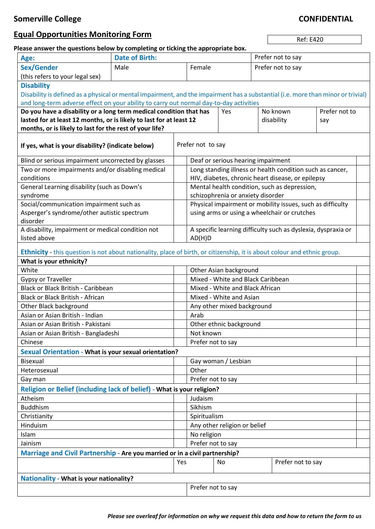# **Equal Opportunities Monitoring Form**

Ref: E420

### **Please answer the questions below by completing or ticking the appropriate box.**

| Age:                                                                                                                             | <b>Date of Birth:</b> |                   |                                                               |       |                   | Prefer not to say |                   |               |  |  |
|----------------------------------------------------------------------------------------------------------------------------------|-----------------------|-------------------|---------------------------------------------------------------|-------|-------------------|-------------------|-------------------|---------------|--|--|
| <b>Sex/Gender</b>                                                                                                                | Male<br>Female        |                   |                                                               |       | Prefer not to say |                   |                   |               |  |  |
| (this refers to your legal sex)                                                                                                  |                       |                   |                                                               |       |                   |                   |                   |               |  |  |
| <b>Disability</b>                                                                                                                |                       |                   |                                                               |       |                   |                   |                   |               |  |  |
| Disability is defined as a physical or mental impairment, and the impairment has a substantial (i.e. more than minor or trivial) |                       |                   |                                                               |       |                   |                   |                   |               |  |  |
| and long-term adverse effect on your ability to carry out normal day-to-day activities                                           |                       |                   |                                                               |       |                   |                   |                   |               |  |  |
| Do you have a disability or a long term medical condition that has                                                               |                       |                   |                                                               |       | Yes               |                   | No known          | Prefer not to |  |  |
| lasted for at least 12 months, or is likely to last for at least 12                                                              |                       |                   |                                                               |       |                   |                   | disability<br>say |               |  |  |
| months, or is likely to last for the rest of your life?                                                                          |                       |                   |                                                               |       |                   |                   |                   |               |  |  |
| If yes, what is your disability? (indicate below)                                                                                |                       | Prefer not to say |                                                               |       |                   |                   |                   |               |  |  |
| Blind or serious impairment uncorrected by glasses                                                                               |                       |                   | Deaf or serious hearing impairment                            |       |                   |                   |                   |               |  |  |
| Two or more impairments and/or disabling medical                                                                                 |                       |                   | Long standing illness or health condition such as cancer,     |       |                   |                   |                   |               |  |  |
| conditions                                                                                                                       |                       |                   | HIV, diabetes, chronic heart disease, or epilepsy             |       |                   |                   |                   |               |  |  |
| General Learning disability (such as Down's                                                                                      |                       |                   | Mental health condition, such as depression,                  |       |                   |                   |                   |               |  |  |
| syndrome                                                                                                                         |                       |                   | schizophrenia or anxiety disorder                             |       |                   |                   |                   |               |  |  |
| Social/communication impairment such as                                                                                          |                       |                   | Physical impairment or mobility issues, such as difficulty    |       |                   |                   |                   |               |  |  |
| Asperger's syndrome/other autistic spectrum                                                                                      |                       |                   | using arms or using a wheelchair or crutches                  |       |                   |                   |                   |               |  |  |
| disorder                                                                                                                         |                       |                   |                                                               |       |                   |                   |                   |               |  |  |
| A disability, impairment or medical condition not                                                                                |                       |                   | A specific learning difficulty such as dyslexia, dyspraxia or |       |                   |                   |                   |               |  |  |
| listed above                                                                                                                     |                       |                   | AD(H)D                                                        |       |                   |                   |                   |               |  |  |
| Ethnicity - this question is not about nationality, place of birth, or citizenship, it is about colour and ethnic group.         |                       |                   |                                                               |       |                   |                   |                   |               |  |  |
| What is your ethnicity?                                                                                                          |                       |                   |                                                               |       |                   |                   |                   |               |  |  |
| White                                                                                                                            |                       |                   | Other Asian background                                        |       |                   |                   |                   |               |  |  |
| Gypsy or Traveller                                                                                                               |                       |                   | Mixed - White and Black Caribbean                             |       |                   |                   |                   |               |  |  |
| Black or Black British - Caribbean                                                                                               |                       |                   | Mixed - White and Black African                               |       |                   |                   |                   |               |  |  |
| Black or Black British - African                                                                                                 |                       |                   | Mixed - White and Asian                                       |       |                   |                   |                   |               |  |  |
| Other Black background                                                                                                           |                       |                   | Any other mixed background                                    |       |                   |                   |                   |               |  |  |
| Asian or Asian British - Indian                                                                                                  |                       |                   | Arab                                                          |       |                   |                   |                   |               |  |  |
| Asian or Asian British - Pakistani                                                                                               |                       |                   | Other ethnic background                                       |       |                   |                   |                   |               |  |  |
| Asian or Asian British - Bangladeshi                                                                                             |                       |                   | Not known                                                     |       |                   |                   |                   |               |  |  |
| Chinese                                                                                                                          |                       |                   | Prefer not to say                                             |       |                   |                   |                   |               |  |  |
| Sexual Orientation - What is your sexual orientation?                                                                            |                       |                   |                                                               |       |                   |                   |                   |               |  |  |
| <b>Bisexual</b>                                                                                                                  |                       |                   | Gay woman / Lesbian                                           |       |                   |                   |                   |               |  |  |
| Heterosexual                                                                                                                     |                       |                   |                                                               | Other |                   |                   |                   |               |  |  |
| Gay man                                                                                                                          |                       |                   | Prefer not to say                                             |       |                   |                   |                   |               |  |  |
| Religion or Belief (including lack of belief) - What is your religion?                                                           |                       |                   |                                                               |       |                   |                   |                   |               |  |  |
| Atheism                                                                                                                          |                       |                   | Judaism                                                       |       |                   |                   |                   |               |  |  |
| <b>Buddhism</b>                                                                                                                  |                       | Sikhism           |                                                               |       |                   |                   |                   |               |  |  |
| Christianity                                                                                                                     |                       |                   | Spiritualism                                                  |       |                   |                   |                   |               |  |  |
| Hinduism                                                                                                                         |                       |                   | Any other religion or belief                                  |       |                   |                   |                   |               |  |  |
| Islam                                                                                                                            |                       |                   | No religion                                                   |       |                   |                   |                   |               |  |  |
| Jainism                                                                                                                          |                       |                   | Prefer not to say                                             |       |                   |                   |                   |               |  |  |
| Marriage and Civil Partnership - Are you married or in a civil partnership?                                                      |                       |                   |                                                               |       |                   |                   |                   |               |  |  |
|                                                                                                                                  | Yes                   |                   |                                                               | No    |                   | Prefer not to say |                   |               |  |  |
| <b>Nationality - What is your nationality?</b>                                                                                   |                       |                   |                                                               |       |                   |                   |                   |               |  |  |
| Prefer not to say                                                                                                                |                       |                   |                                                               |       |                   |                   |                   |               |  |  |
|                                                                                                                                  |                       |                   |                                                               |       |                   |                   |                   |               |  |  |